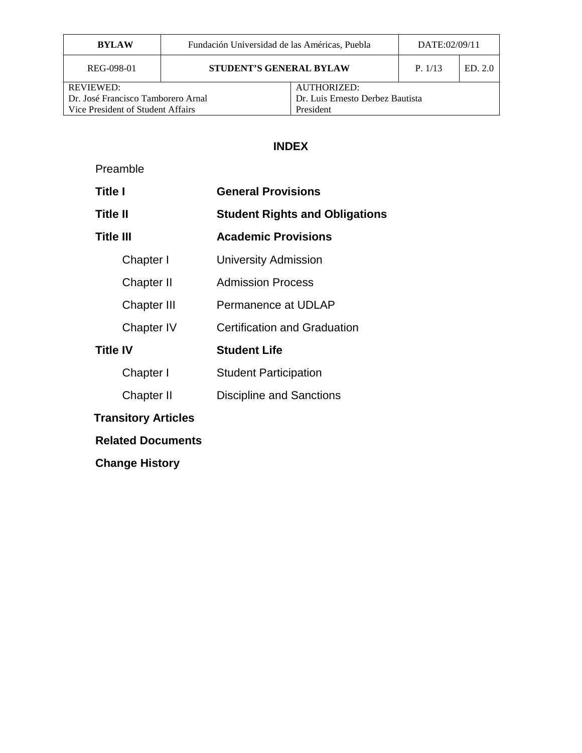| <b>BYLAW</b>                       | Fundación Universidad de las Américas, Puebla |                                  | DATE:02/09/11 |         |
|------------------------------------|-----------------------------------------------|----------------------------------|---------------|---------|
| REG-098-01                         |                                               | <b>STUDENT'S GENERAL BYLAW</b>   |               | ED. 2.0 |
| <b>REVIEWED:</b>                   |                                               | <b>AUTHORIZED:</b>               |               |         |
| Dr. José Francisco Tamborero Arnal |                                               | Dr. Luis Ernesto Derbez Bautista |               |         |
| Vice President of Student Affairs  |                                               | President                        |               |         |

# **INDEX**

| Preamble                   |                                       |
|----------------------------|---------------------------------------|
| <b>Title I</b>             | <b>General Provisions</b>             |
| <b>Title II</b>            | <b>Student Rights and Obligations</b> |
| <b>Title III</b>           | <b>Academic Provisions</b>            |
| Chapter I                  | <b>University Admission</b>           |
| Chapter II                 | <b>Admission Process</b>              |
| Chapter III                | Permanence at UDLAP                   |
| Chapter IV                 | <b>Certification and Graduation</b>   |
| <b>Title IV</b>            | <b>Student Life</b>                   |
| Chapter I                  | <b>Student Participation</b>          |
| Chapter II                 | <b>Discipline and Sanctions</b>       |
| <b>Transitory Articles</b> |                                       |
| <b>Related Documents</b>   |                                       |
| <b>Change History</b>      |                                       |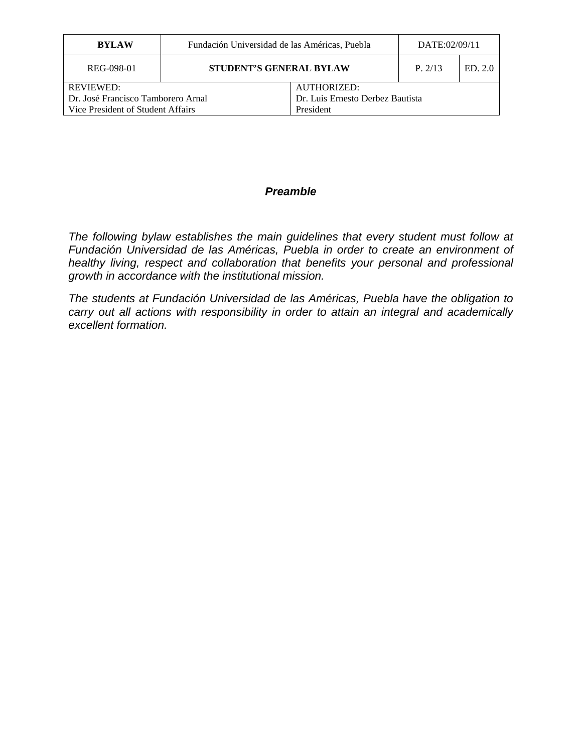| <b>BYLAW</b>                       | Fundación Universidad de las Américas, Puebla |                                  | DATE:02/09/11 |         |
|------------------------------------|-----------------------------------------------|----------------------------------|---------------|---------|
| REG-098-01                         | <b>STUDENT'S GENERAL BYLAW</b>                |                                  | P. 2/13       | ED. 2.0 |
| REVIEWED:                          |                                               | AUTHORIZED:                      |               |         |
| Dr. José Francisco Tamborero Arnal |                                               | Dr. Luis Ernesto Derbez Bautista |               |         |
| Vice President of Student Affairs  |                                               | President                        |               |         |

#### *Preamble*

*The following bylaw establishes the main guidelines that every student must follow at Fundación Universidad de las Américas, Puebla in order to create an environment of healthy living, respect and collaboration that benefits your personal and professional growth in accordance with the institutional mission.*

*The students at Fundación Universidad de las Américas, Puebla have the obligation to carry out all actions with responsibility in order to attain an integral and academically excellent formation.*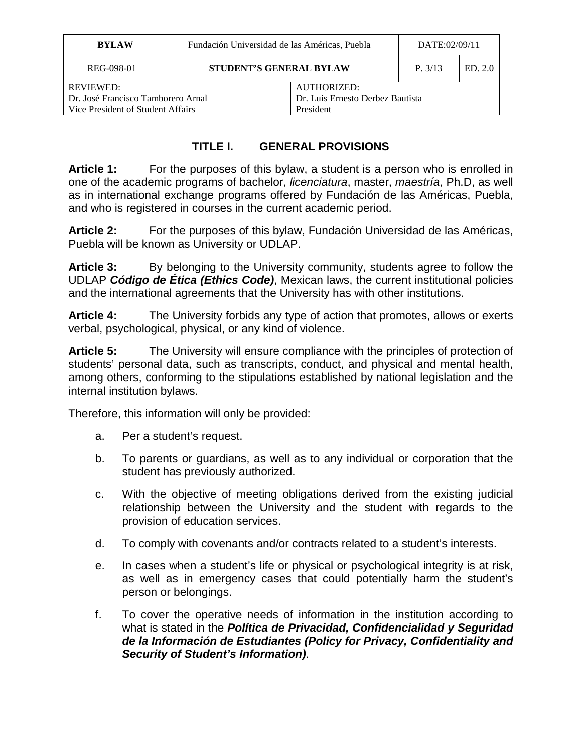| <b>BYLAW</b>                       | Fundación Universidad de las Américas, Puebla |                                  | DATE:02/09/11 |         |
|------------------------------------|-----------------------------------------------|----------------------------------|---------------|---------|
| REG-098-01                         |                                               | <b>STUDENT'S GENERAL BYLAW</b>   |               | ED. 2.0 |
| <b>REVIEWED:</b>                   |                                               | <b>AUTHORIZED:</b>               |               |         |
| Dr. José Francisco Tamborero Arnal |                                               | Dr. Luis Ernesto Derbez Bautista |               |         |
| Vice President of Student Affairs  |                                               | President                        |               |         |

# **TITLE I. GENERAL PROVISIONS**

**Article 1:** For the purposes of this bylaw, a student is a person who is enrolled in one of the academic programs of bachelor, *licenciatura*, master, *maestría*, Ph.D, as well as in international exchange programs offered by Fundación de las Américas, Puebla, and who is registered in courses in the current academic period.

**Article 2:** For the purposes of this bylaw, Fundación Universidad de las Américas, Puebla will be known as University or UDLAP.

**Article 3:** By belonging to the University community, students agree to follow the UDLAP *Código de Ética (Ethics Code)*, Mexican laws, the current institutional policies and the international agreements that the University has with other institutions.

**Article 4:** The University forbids any type of action that promotes, allows or exerts verbal, psychological, physical, or any kind of violence.

**Article 5:** The University will ensure compliance with the principles of protection of students' personal data, such as transcripts, conduct, and physical and mental health, among others, conforming to the stipulations established by national legislation and the internal institution bylaws.

Therefore, this information will only be provided:

- a. Per a student's request.
- b. To parents or guardians, as well as to any individual or corporation that the student has previously authorized.
- c. With the objective of meeting obligations derived from the existing judicial relationship between the University and the student with regards to the provision of education services.
- d. To comply with covenants and/or contracts related to a student's interests.
- e. In cases when a student's life or physical or psychological integrity is at risk, as well as in emergency cases that could potentially harm the student's person or belongings.
- f. To cover the operative needs of information in the institution according to what is stated in the *Política de Privacidad, Confidencialidad y Seguridad de la Información de Estudiantes (Policy for Privacy, Confidentiality and Security of Student's Information)*.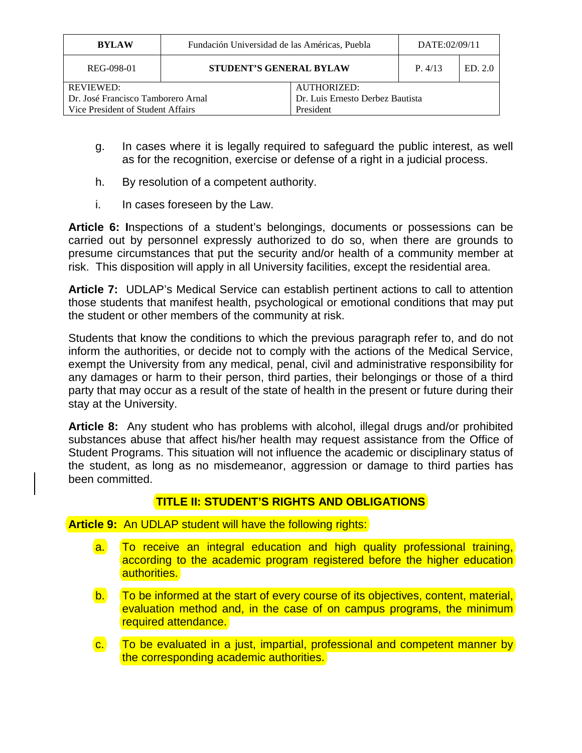| <b>BYLAW</b>                       | Fundación Universidad de las Américas, Puebla | DATE:02/09/11                    |  |         |
|------------------------------------|-----------------------------------------------|----------------------------------|--|---------|
| REG-098-01                         |                                               | <b>STUDENT'S GENERAL BYLAW</b>   |  | ED. 2.0 |
| <b>REVIEWED:</b>                   |                                               | <b>AUTHORIZED:</b>               |  |         |
| Dr. José Francisco Tamborero Arnal |                                               | Dr. Luis Ernesto Derbez Bautista |  |         |
| Vice President of Student Affairs  |                                               | President                        |  |         |

- g. In cases where it is legally required to safeguard the public interest, as well as for the recognition, exercise or defense of a right in a judicial process.
- h. By resolution of a competent authority.
- i. In cases foreseen by the Law.

**Article 6: I**nspections of a student's belongings, documents or possessions can be carried out by personnel expressly authorized to do so, when there are grounds to presume circumstances that put the security and/or health of a community member at risk. This disposition will apply in all University facilities, except the residential area.

**Article 7:** UDLAP's Medical Service can establish pertinent actions to call to attention those students that manifest health, psychological or emotional conditions that may put the student or other members of the community at risk.

Students that know the conditions to which the previous paragraph refer to, and do not inform the authorities, or decide not to comply with the actions of the Medical Service, exempt the University from any medical, penal, civil and administrative responsibility for any damages or harm to their person, third parties, their belongings or those of a third party that may occur as a result of the state of health in the present or future during their stay at the University.

**Article 8:** Any student who has problems with alcohol, illegal drugs and/or prohibited substances abuse that affect his/her health may request assistance from the Office of Student Programs. This situation will not influence the academic or disciplinary status of the student, as long as no misdemeanor, aggression or damage to third parties has been committed.

### **TITLE II: STUDENT'S RIGHTS AND OBLIGATIONS**

**Article 9:** An UDLAP student will have the following rights:

- a. To receive an integral education and high quality professional training, according to the academic program registered before the higher education authorities.
- b. To be informed at the start of every course of its objectives, content, material, evaluation method and, in the case of on campus programs, the minimum required attendance.
- c. To be evaluated in a just, impartial, professional and competent manner by the corresponding academic authorities.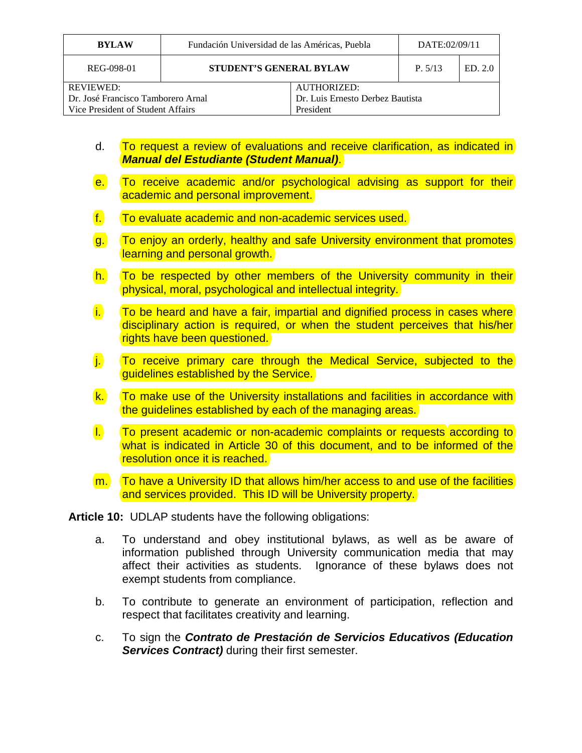| <b>BYLAW</b>                       | Fundación Universidad de las Américas, Puebla  |                                  | DATE:02/09/11 |         |
|------------------------------------|------------------------------------------------|----------------------------------|---------------|---------|
| REG-098-01                         | <b>STUDENT'S GENERAL BYLAW</b>                 |                                  | P. 5/13       | ED. 2.0 |
| <b>REVIEWED:</b>                   | AUTHORIZED:                                    |                                  |               |         |
| Dr. José Francisco Tamborero Arnal |                                                | Dr. Luis Ernesto Derbez Bautista |               |         |
|                                    | Vice President of Student Affairs<br>President |                                  |               |         |

- d. To request a review of evaluations and receive clarification, as indicated in *Manual del Estudiante (Student Manual)*.
- e. To receive academic and/or psychological advising as support for their academic and personal improvement.
- f. To evaluate academic and non-academic services used.
- g. To enjoy an orderly, healthy and safe University environment that promotes learning and personal growth.
- h. To be respected by other members of the University community in their physical, moral, psychological and intellectual integrity.
- i. To be heard and have a fair, impartial and dignified process in cases where disciplinary action is required, or when the student perceives that his/her rights have been questioned.
- j. To receive primary care through the Medical Service, subjected to the guidelines established by the Service.
- k. To make use of the University installations and facilities in accordance with the guidelines established by each of the managing areas.
- l. To present academic or non-academic complaints or requests according to what is indicated in Article 30 of this document, and to be informed of the resolution once it is reached.
- m. To have a University ID that allows him/her access to and use of the facilities and services provided. This ID will be University property.

**Article 10:** UDLAP students have the following obligations:

- a. To understand and obey institutional bylaws, as well as be aware of information published through University communication media that may affect their activities as students. Ignorance of these bylaws does not exempt students from compliance.
- b. To contribute to generate an environment of participation, reflection and respect that facilitates creativity and learning.
- c. To sign the *Contrato de Prestación de Servicios Educativos (Education Services Contract)* during their first semester.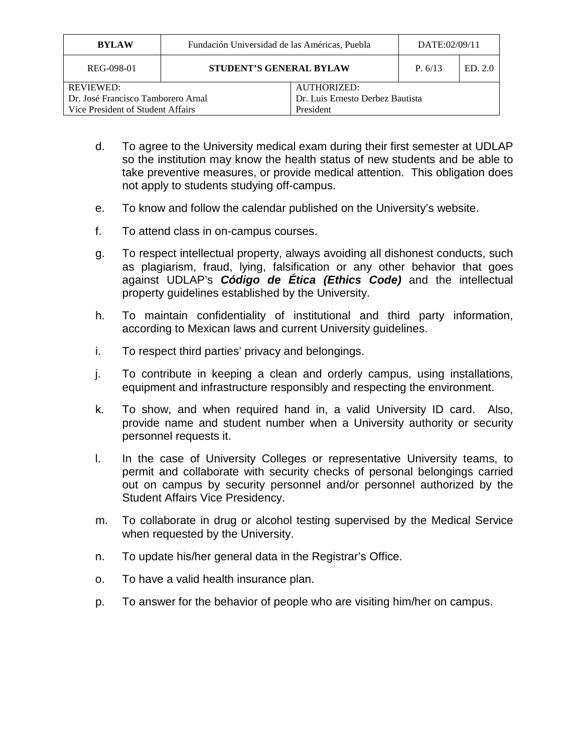| <b>BYLAW</b>                       | Fundación Universidad de las Américas, Puebla | DATE:02/09/11                    |         |         |
|------------------------------------|-----------------------------------------------|----------------------------------|---------|---------|
| REG-098-01                         | <b>STUDENT'S GENERAL BYLAW</b>                |                                  | P. 6/13 | ED. 2.0 |
| <b>REVIEWED:</b>                   |                                               | <b>AUTHORIZED:</b>               |         |         |
| Dr. José Francisco Tamborero Arnal |                                               | Dr. Luis Ernesto Derbez Bautista |         |         |
| Vice President of Student Affairs  |                                               | President                        |         |         |

- d. To agree to the University medical exam during their first semester at UDLAP so the institution may know the health status of new students and be able to take preventive measures, or provide medical attention. This obligation does not apply to students studying off-campus.
- e. To know and follow the calendar published on the University's website.
- f. To attend class in on-campus courses.
- g. To respect intellectual property, always avoiding all dishonest conducts, such as plagiarism, fraud, lying, falsification or any other behavior that goes against UDLAP's *Código de Ética (Ethics Code)* and the intellectual property guidelines established by the University.
- h. To maintain confidentiality of institutional and third party information, according to Mexican laws and current University guidelines.
- i. To respect third parties' privacy and belongings.
- j. To contribute in keeping a clean and orderly campus, using installations, equipment and infrastructure responsibly and respecting the environment.
- k. To show, and when required hand in, a valid University ID card. Also, provide name and student number when a University authority or security personnel requests it.
- l. In the case of University Colleges or representative University teams, to permit and collaborate with security checks of personal belongings carried out on campus by security personnel and/or personnel authorized by the Student Affairs Vice Presidency.
- m. To collaborate in drug or alcohol testing supervised by the Medical Service when requested by the University.
- n. To update his/her general data in the Registrar's Office.
- o. To have a valid health insurance plan.
- p. To answer for the behavior of people who are visiting him/her on campus.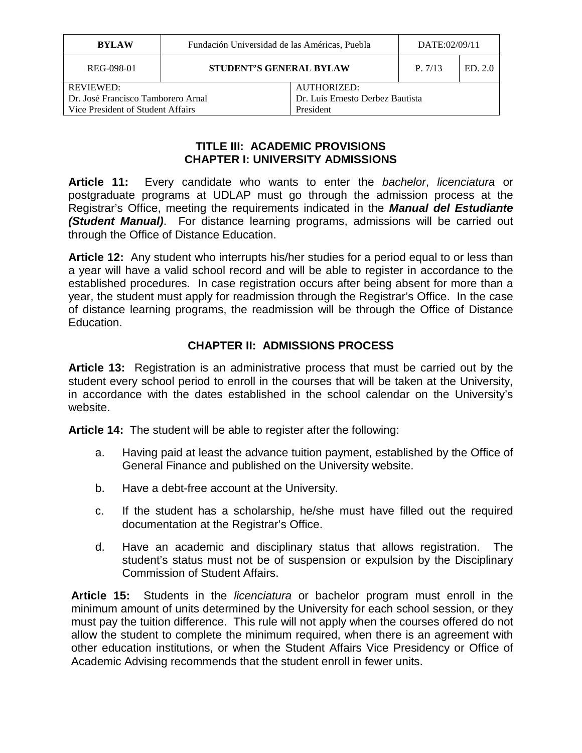| <b>BYLAW</b>                       | Fundación Universidad de las Américas, Puebla |                                  | DATE:02/09/11 |         |
|------------------------------------|-----------------------------------------------|----------------------------------|---------------|---------|
| REG-098-01                         | <b>STUDENT'S GENERAL BYLAW</b>                |                                  | P. 7/13       | ED. 2.0 |
| <b>REVIEWED:</b>                   |                                               | AUTHORIZED:                      |               |         |
| Dr. José Francisco Tamborero Arnal |                                               | Dr. Luis Ernesto Derbez Bautista |               |         |
| Vice President of Student Affairs  |                                               | President                        |               |         |
|                                    |                                               |                                  |               |         |

#### **TITLE III: ACADEMIC PROVISIONS CHAPTER I: UNIVERSITY ADMISSIONS**

**Article 11:** Every candidate who wants to enter the *bachelor*, *licenciatura* or postgraduate programs at UDLAP must go through the admission process at the Registrar's Office, meeting the requirements indicated in the *Manual del Estudiante (Student Manual)*. For distance learning programs, admissions will be carried out through the Office of Distance Education.

**Article 12:** Any student who interrupts his/her studies for a period equal to or less than a year will have a valid school record and will be able to register in accordance to the established procedures. In case registration occurs after being absent for more than a year, the student must apply for readmission through the Registrar's Office. In the case of distance learning programs, the readmission will be through the Office of Distance Education.

### **CHAPTER II: ADMISSIONS PROCESS**

**Article 13:** Registration is an administrative process that must be carried out by the student every school period to enroll in the courses that will be taken at the University, in accordance with the dates established in the school calendar on the University's website.

**Article 14:** The student will be able to register after the following:

- a. Having paid at least the advance tuition payment, established by the Office of General Finance and published on the University website.
- b. Have a debt-free account at the University.
- c. If the student has a scholarship, he/she must have filled out the required documentation at the Registrar's Office.
- d. Have an academic and disciplinary status that allows registration. The student's status must not be of suspension or expulsion by the Disciplinary Commission of Student Affairs.

**Article 15:** Students in the *licenciatura* or bachelor program must enroll in the minimum amount of units determined by the University for each school session, or they must pay the tuition difference. This rule will not apply when the courses offered do not allow the student to complete the minimum required, when there is an agreement with other education institutions, or when the Student Affairs Vice Presidency or Office of Academic Advising recommends that the student enroll in fewer units.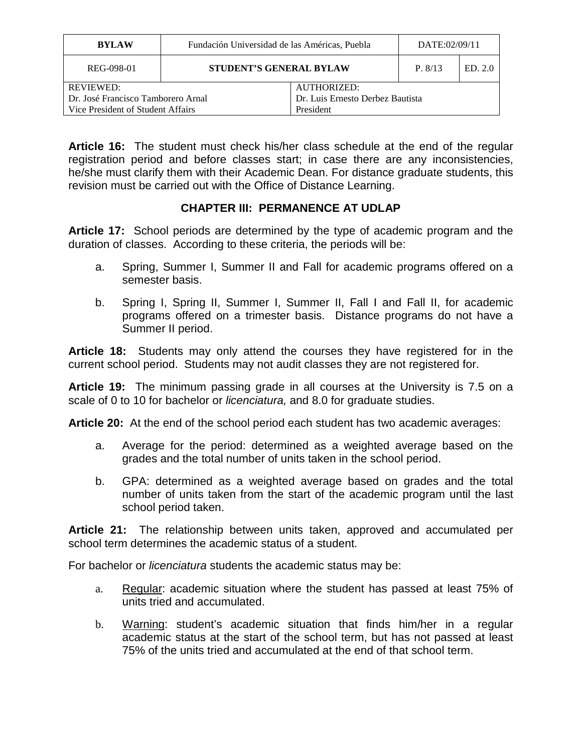| <b>BYLAW</b>                       | Fundación Universidad de las Américas, Puebla |                                  | DATE:02/09/11 |         |
|------------------------------------|-----------------------------------------------|----------------------------------|---------------|---------|
| REG-098-01                         | <b>STUDENT'S GENERAL BYLAW</b>                |                                  | P. 8/13       | ED. 2.0 |
| <b>REVIEWED:</b>                   |                                               | AUTHORIZED:                      |               |         |
| Dr. José Francisco Tamborero Arnal |                                               | Dr. Luis Ernesto Derbez Bautista |               |         |
| Vice President of Student Affairs  |                                               | President                        |               |         |

**Article 16:** The student must check his/her class schedule at the end of the regular registration period and before classes start; in case there are any inconsistencies, he/she must clarify them with their Academic Dean. For distance graduate students, this revision must be carried out with the Office of Distance Learning.

### **CHAPTER III: PERMANENCE AT UDLAP**

**Article 17:** School periods are determined by the type of academic program and the duration of classes. According to these criteria, the periods will be:

- a. Spring, Summer I, Summer II and Fall for academic programs offered on a semester basis.
- b. Spring I, Spring II, Summer I, Summer II, Fall I and Fall II, for academic programs offered on a trimester basis. Distance programs do not have a Summer II period.

**Article 18:** Students may only attend the courses they have registered for in the current school period. Students may not audit classes they are not registered for.

**Article 19:** The minimum passing grade in all courses at the University is 7.5 on a scale of 0 to 10 for bachelor or *licenciatura,* and 8.0 for graduate studies.

**Article 20:** At the end of the school period each student has two academic averages:

- a. Average for the period: determined as a weighted average based on the grades and the total number of units taken in the school period.
- b. GPA: determined as a weighted average based on grades and the total number of units taken from the start of the academic program until the last school period taken.

**Article 21:** The relationship between units taken, approved and accumulated per school term determines the academic status of a student.

For bachelor or *licenciatura* students the academic status may be:

- a. Regular: academic situation where the student has passed at least 75% of units tried and accumulated.
- b. Warning: student's academic situation that finds him/her in a regular academic status at the start of the school term, but has not passed at least 75% of the units tried and accumulated at the end of that school term.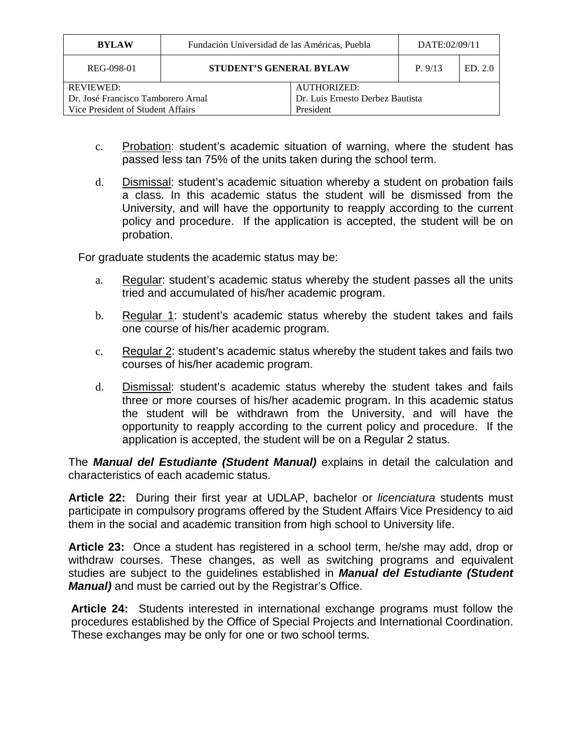| <b>BYLAW</b>                       | Fundación Universidad de las Américas, Puebla |                                  | DATE:02/09/11 |         |
|------------------------------------|-----------------------------------------------|----------------------------------|---------------|---------|
| REG-098-01                         | <b>STUDENT'S GENERAL BYLAW</b>                |                                  | P.9/13        | ED. 2.0 |
| <b>REVIEWED:</b>                   |                                               | AUTHORIZED:                      |               |         |
| Dr. José Francisco Tamborero Arnal |                                               | Dr. Luis Ernesto Derbez Bautista |               |         |
| Vice President of Student Affairs  |                                               | President                        |               |         |

- c. Probation: student's academic situation of warning, where the student has passed less tan 75% of the units taken during the school term.
- d. Dismissal: student's academic situation whereby a student on probation fails a class. In this academic status the student will be dismissed from the University, and will have the opportunity to reapply according to the current policy and procedure. If the application is accepted, the student will be on probation.

For graduate students the academic status may be:

- a. Regular: student's academic status whereby the student passes all the units tried and accumulated of his/her academic program.
- b. Regular 1: student's academic status whereby the student takes and fails one course of his/her academic program.
- c. Regular 2: student's academic status whereby the student takes and fails two courses of his/her academic program.
- d. Dismissal: student's academic status whereby the student takes and fails three or more courses of his/her academic program. In this academic status the student will be withdrawn from the University, and will have the opportunity to reapply according to the current policy and procedure. If the application is accepted, the student will be on a Regular 2 status.

The *Manual del Estudiante (Student Manual)* explains in detail the calculation and characteristics of each academic status.

**Article 22:** During their first year at UDLAP, bachelor or *licenciatura* students must participate in compulsory programs offered by the Student Affairs Vice Presidency to aid them in the social and academic transition from high school to University life.

**Article 23:** Once a student has registered in a school term, he/she may add, drop or withdraw courses. These changes, as well as switching programs and equivalent studies are subject to the guidelines established in *Manual del Estudiante (Student Manual)* and must be carried out by the Registrar's Office.

**Article 24:** Students interested in international exchange programs must follow the procedures established by the Office of Special Projects and International Coordination. These exchanges may be only for one or two school terms.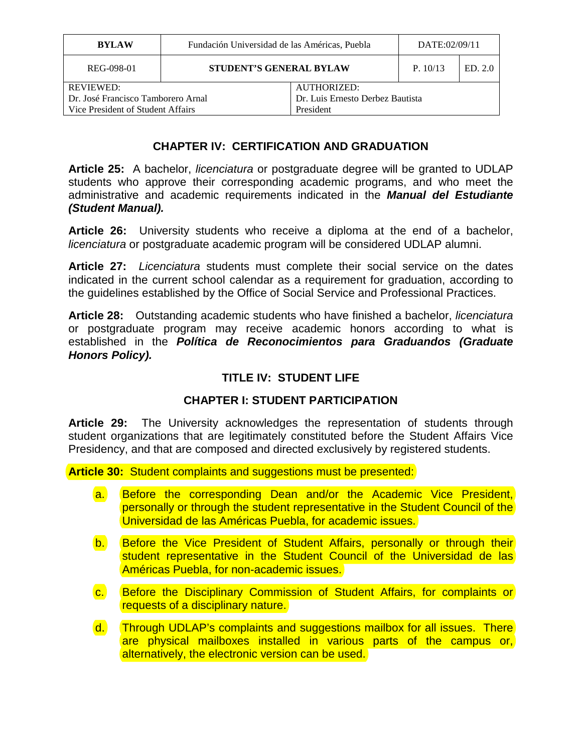| <b>BYLAW</b>                                           | Fundación Universidad de las Américas, Puebla |                                                        | DATE:02/09/11 |         |
|--------------------------------------------------------|-----------------------------------------------|--------------------------------------------------------|---------------|---------|
| REG-098-01                                             | <b>STUDENT'S GENERAL BYLAW</b>                |                                                        | P. 10/13      | ED. 2.0 |
| <b>REVIEWED:</b><br>Dr. José Francisco Tamborero Arnal |                                               | <b>AUTHORIZED:</b><br>Dr. Luis Ernesto Derbez Bautista |               |         |
| Vice President of Student Affairs                      |                                               | President                                              |               |         |

### **CHAPTER IV: CERTIFICATION AND GRADUATION**

**Article 25:** A bachelor, *licenciatura* or postgraduate degree will be granted to UDLAP students who approve their corresponding academic programs, and who meet the administrative and academic requirements indicated in the *Manual del Estudiante (Student Manual).*

**Article 26:** University students who receive a diploma at the end of a bachelor, *licenciatura* or postgraduate academic program will be considered UDLAP alumni.

**Article 27:** *Licenciatura* students must complete their social service on the dates indicated in the current school calendar as a requirement for graduation, according to the guidelines established by the Office of Social Service and Professional Practices.

**Article 28:** Outstanding academic students who have finished a bachelor, *licenciatura* or postgraduate program may receive academic honors according to what is established in the *Política de Reconocimientos para Graduandos (Graduate Honors Policy).*

### **TITLE IV: STUDENT LIFE**

### **CHAPTER I: STUDENT PARTICIPATION**

**Article 29:** The University acknowledges the representation of students through student organizations that are legitimately constituted before the Student Affairs Vice Presidency, and that are composed and directed exclusively by registered students.

**Article 30:** Student complaints and suggestions must be presented:

- a. Before the corresponding Dean and/or the Academic Vice President, personally or through the student representative in the Student Council of the Universidad de las Américas Puebla, for academic issues.
- b. Before the Vice President of Student Affairs, personally or through their student representative in the Student Council of the Universidad de las Américas Puebla, for non-academic issues.
- c. Before the Disciplinary Commission of Student Affairs, for complaints or requests of a disciplinary nature.
- d. Through UDLAP's complaints and suggestions mailbox for all issues. There are physical mailboxes installed in various parts of the campus or, alternatively, the electronic version can be used.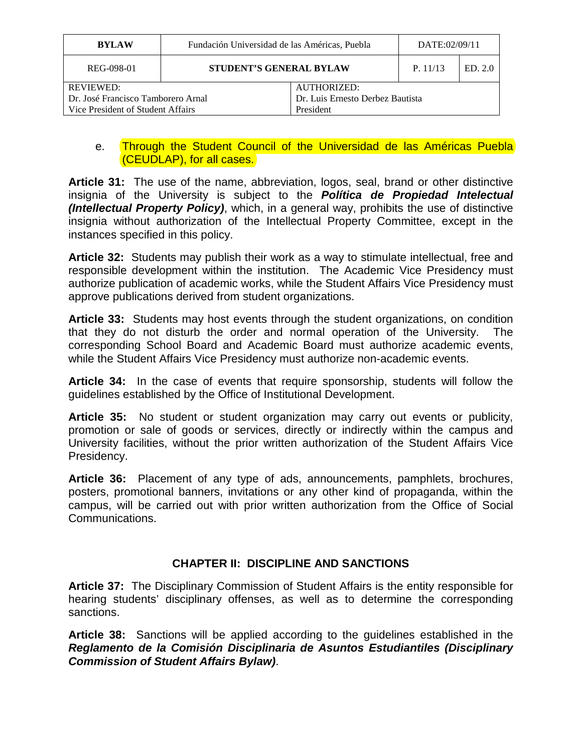| <b>BYLAW</b>                       | Fundación Universidad de las Américas, Puebla  |                                  | DATE:02/09/11 |         |
|------------------------------------|------------------------------------------------|----------------------------------|---------------|---------|
| REG-098-01                         | <b>STUDENT'S GENERAL BYLAW</b>                 |                                  | P. 11/13      | ED. 2.0 |
| <b>REVIEWED:</b>                   |                                                | <b>AUTHORIZED:</b>               |               |         |
| Dr. José Francisco Tamborero Arnal |                                                | Dr. Luis Ernesto Derbez Bautista |               |         |
|                                    | Vice President of Student Affairs<br>President |                                  |               |         |

#### e. Through the Student Council of the Universidad de las Américas Puebla (CEUDLAP), for all cases.

**Article 31:** The use of the name, abbreviation, logos, seal, brand or other distinctive insignia of the University is subject to the *Política de Propiedad Intelectual (Intellectual Property Policy)*, which, in a general way, prohibits the use of distinctive insignia without authorization of the Intellectual Property Committee, except in the instances specified in this policy.

**Article 32:** Students may publish their work as a way to stimulate intellectual, free and responsible development within the institution. The Academic Vice Presidency must authorize publication of academic works, while the Student Affairs Vice Presidency must approve publications derived from student organizations.

**Article 33:** Students may host events through the student organizations, on condition that they do not disturb the order and normal operation of the University. The corresponding School Board and Academic Board must authorize academic events, while the Student Affairs Vice Presidency must authorize non-academic events.

**Article 34:** In the case of events that require sponsorship, students will follow the guidelines established by the Office of Institutional Development.

**Article 35:** No student or student organization may carry out events or publicity, promotion or sale of goods or services, directly or indirectly within the campus and University facilities, without the prior written authorization of the Student Affairs Vice Presidency.

**Article 36:** Placement of any type of ads, announcements, pamphlets, brochures, posters, promotional banners, invitations or any other kind of propaganda, within the campus, will be carried out with prior written authorization from the Office of Social Communications.

### **CHAPTER II: DISCIPLINE AND SANCTIONS**

**Article 37:** The Disciplinary Commission of Student Affairs is the entity responsible for hearing students' disciplinary offenses, as well as to determine the corresponding sanctions.

**Article 38:** Sanctions will be applied according to the guidelines established in the *Reglamento de la Comisión Disciplinaria de Asuntos Estudiantiles (Disciplinary Commission of Student Affairs Bylaw)*.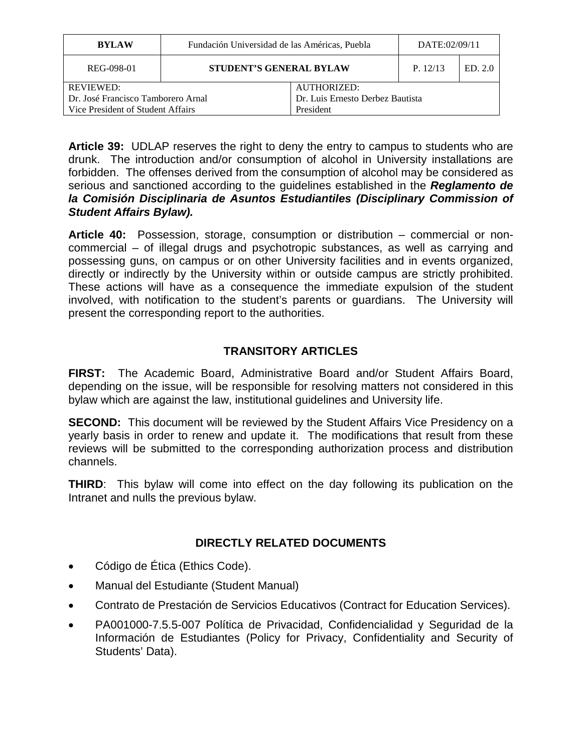| <b>BYLAW</b>                       | Fundación Universidad de las Américas, Puebla |                                  | DATE:02/09/11 |         |
|------------------------------------|-----------------------------------------------|----------------------------------|---------------|---------|
| REG-098-01                         | <b>STUDENT'S GENERAL BYLAW</b>                |                                  | P. 12/13      | ED. 2.0 |
| <b>REVIEWED:</b>                   |                                               | <b>AUTHORIZED:</b>               |               |         |
| Dr. José Francisco Tamborero Arnal |                                               | Dr. Luis Ernesto Derbez Bautista |               |         |
| Vice President of Student Affairs  |                                               | President                        |               |         |

**Article 39:** UDLAP reserves the right to deny the entry to campus to students who are drunk. The introduction and/or consumption of alcohol in University installations are forbidden. The offenses derived from the consumption of alcohol may be considered as serious and sanctioned according to the guidelines established in the *Reglamento de la Comisión Disciplinaria de Asuntos Estudiantiles (Disciplinary Commission of Student Affairs Bylaw).* 

**Article 40:** Possession, storage, consumption or distribution – commercial or noncommercial – of illegal drugs and psychotropic substances, as well as carrying and possessing guns, on campus or on other University facilities and in events organized, directly or indirectly by the University within or outside campus are strictly prohibited. These actions will have as a consequence the immediate expulsion of the student involved, with notification to the student's parents or guardians. The University will present the corresponding report to the authorities.

## **TRANSITORY ARTICLES**

**FIRST:** The Academic Board, Administrative Board and/or Student Affairs Board, depending on the issue, will be responsible for resolving matters not considered in this bylaw which are against the law, institutional guidelines and University life.

**SECOND:** This document will be reviewed by the Student Affairs Vice Presidency on a yearly basis in order to renew and update it. The modifications that result from these reviews will be submitted to the corresponding authorization process and distribution channels.

**THIRD:** This bylaw will come into effect on the day following its publication on the Intranet and nulls the previous bylaw.

### **DIRECTLY RELATED DOCUMENTS**

- Código de Ética (Ethics Code).
- Manual del Estudiante (Student Manual)
- Contrato de Prestación de Servicios Educativos (Contract for Education Services).
- PA001000-7.5.5-007 Política de Privacidad, Confidencialidad y Seguridad de la Información de Estudiantes (Policy for Privacy, Confidentiality and Security of Students' Data).